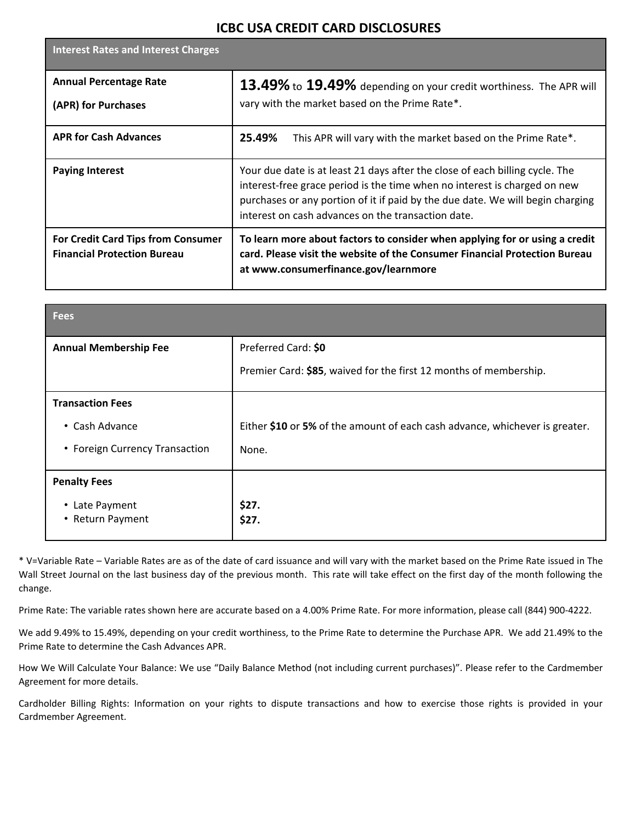## **ICBC USA CREDIT CARD DISCLOSURES**

| <b>Interest Rates and Interest Charges</b>                               |                                                                                                                                                                                                                                                                                                   |
|--------------------------------------------------------------------------|---------------------------------------------------------------------------------------------------------------------------------------------------------------------------------------------------------------------------------------------------------------------------------------------------|
| <b>Annual Percentage Rate</b><br>(APR) for Purchases                     | 13.49% to 19.49% depending on your credit worthiness. The APR will<br>vary with the market based on the Prime Rate*.                                                                                                                                                                              |
| <b>APR for Cash Advances</b>                                             | 25.49%<br>This APR will vary with the market based on the Prime Rate*.                                                                                                                                                                                                                            |
| <b>Paying Interest</b>                                                   | Your due date is at least 21 days after the close of each billing cycle. The<br>interest-free grace period is the time when no interest is charged on new<br>purchases or any portion of it if paid by the due date. We will begin charging<br>interest on cash advances on the transaction date. |
| For Credit Card Tips from Consumer<br><b>Financial Protection Bureau</b> | To learn more about factors to consider when applying for or using a credit<br>card. Please visit the website of the Consumer Financial Protection Bureau<br>at www.consumerfinance.gov/learnmore                                                                                                 |

| <b>Fees</b>                                                                 |                                                                                          |
|-----------------------------------------------------------------------------|------------------------------------------------------------------------------------------|
| <b>Annual Membership Fee</b>                                                | Preferred Card: \$0<br>Premier Card: \$85, waived for the first 12 months of membership. |
| <b>Transaction Fees</b><br>• Cash Advance<br>• Foreign Currency Transaction | Either \$10 or 5% of the amount of each cash advance, whichever is greater.<br>None.     |
| <b>Penalty Fees</b><br>• Late Payment<br>Return Payment<br>$\bullet$        | \$27.<br>\$27.                                                                           |

\* V=Variable Rate – Variable Rates are as of the date of card issuance and will vary with the market based on the Prime Rate issued in The Wall Street Journal on the last business day of the previous month. This rate will take effect on the first day of the month following the change.

Prime Rate: The variable rates shown here are accurate based on a 4.00% Prime Rate. For more information, please call (844) 900-4222.

We add 9.49% to 15.49%, depending on your credit worthiness, to the Prime Rate to determine the Purchase APR. We add 21.49% to the Prime Rate to determine the Cash Advances APR.

How We Will Calculate Your Balance: We use "Daily Balance Method (not including current purchases)". Please refer to the Cardmember Agreement for more details.

Cardholder Billing Rights: Information on your rights to dispute transactions and how to exercise those rights is provided in your Cardmember Agreement.